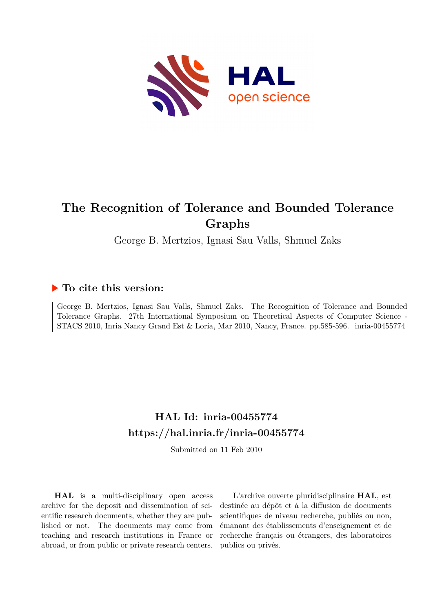

# **The Recognition of Tolerance and Bounded Tolerance Graphs**

George B. Mertzios, Ignasi Sau Valls, Shmuel Zaks

# **To cite this version:**

George B. Mertzios, Ignasi Sau Valls, Shmuel Zaks. The Recognition of Tolerance and Bounded Tolerance Graphs. 27th International Symposium on Theoretical Aspects of Computer Science - STACS 2010, Inria Nancy Grand Est & Loria, Mar 2010, Nancy, France. pp. 585-596. inria-00455774

# **HAL Id: inria-00455774 <https://hal.inria.fr/inria-00455774>**

Submitted on 11 Feb 2010

**HAL** is a multi-disciplinary open access archive for the deposit and dissemination of scientific research documents, whether they are published or not. The documents may come from teaching and research institutions in France or abroad, or from public or private research centers.

L'archive ouverte pluridisciplinaire **HAL**, est destinée au dépôt et à la diffusion de documents scientifiques de niveau recherche, publiés ou non, émanant des établissements d'enseignement et de recherche français ou étrangers, des laboratoires publics ou privés.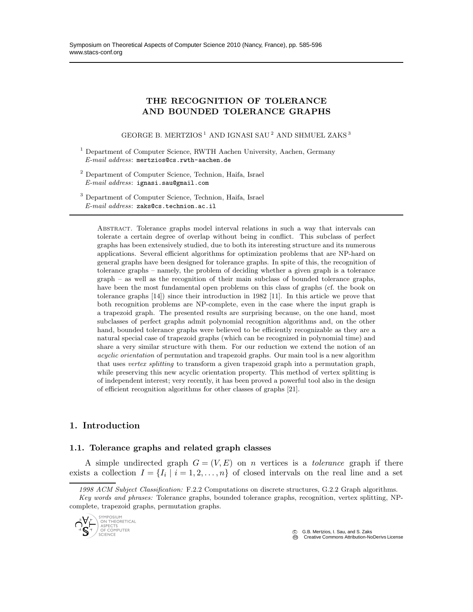# THE RECOGNITION OF TOLERANCE AND BOUNDED TOLERANCE GRAPHS

GEORGE B. MERTZIOS<sup>1</sup> AND IGNASI SAU<sup>2</sup> AND SHMUEL ZAKS<sup>3</sup>

- <sup>1</sup> Department of Computer Science, RWTH Aachen University, Aachen, Germany *E-mail address*: mertzios@cs.rwth-aachen.de
- <sup>2</sup> Department of Computer Science, Technion, Haifa, Israel *E-mail address*: ignasi.sau@gmail.com
- <sup>3</sup> Department of Computer Science, Technion, Haifa, Israel *E-mail address*: zaks@cs.technion.ac.il

Abstract. Tolerance graphs model interval relations in such a way that intervals can tolerate a certain degree of overlap without being in conflict. This subclass of perfect graphs has been extensively studied, due to both its interesting structure and its numerous applications. Several efficient algorithms for optimization problems that are NP-hard on general graphs have been designed for tolerance graphs. In spite of this, the recognition of tolerance graphs – namely, the problem of deciding whether a given graph is a tolerance graph – as well as the recognition of their main subclass of bounded tolerance graphs, have been the most fundamental open problems on this class of graphs (cf. the book on tolerance graphs [14]) since their introduction in 1982 [11]. In this article we prove that both recognition problems are NP-complete, even in the case where the input graph is a trapezoid graph. The presented results are surprising because, on the one hand, most subclasses of perfect graphs admit polynomial recognition algorithms and, on the other hand, bounded tolerance graphs were believed to be efficiently recognizable as they are a natural special case of trapezoid graphs (which can be recognized in polynomial time) and share a very similar structure with them. For our reduction we extend the notion of an *acyclic orientation* of permutation and trapezoid graphs. Our main tool is a new algorithm that uses *vertex splitting* to transform a given trapezoid graph into a permutation graph, while preserving this new acyclic orientation property. This method of vertex splitting is of independent interest; very recently, it has been proved a powerful tool also in the design of efficient recognition algorithms for other classes of graphs [21].

# 1. Introduction

# 1.1. Tolerance graphs and related graph classes

A simple undirected graph  $G = (V, E)$  on *n* vertices is a *tolerance* graph if there exists a collection  $I = \{I_i \mid i = 1, 2, \ldots, n\}$  of closed intervals on the real line and a set

*<sup>1998</sup> ACM Subject Classification:* F.2.2 Computations on discrete structures, G.2.2 Graph algorithms. *Key words and phrases:* Tolerance graphs, bounded tolerance graphs, recognition, vertex splitting, NPcomplete, trapezoid graphs, permutation graphs.



 c G.B. Mertzios, I. Sau, and S. Zaks C<sub>G</sub> Creative Commons Attribution-NoDerivs License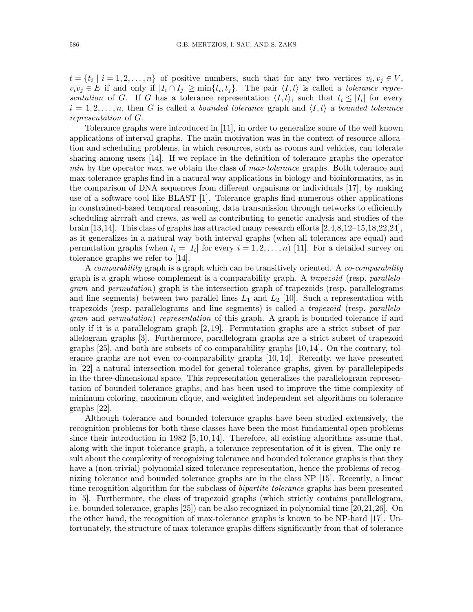$t = \{t_i \mid i = 1, 2, \dots, n\}$  of positive numbers, such that for any two vertices  $v_i, v_j \in V$ ,  $v_i v_j \in E$  if and only if  $|I_i \cap I_j| \ge \min\{t_i, t_j\}$ . The pair  $\langle I, t \rangle$  is called a tolerance representation of G. If G has a tolerance representation  $\langle I, t \rangle$ , such that  $t_i \leq |I_i|$  for every  $i = 1, 2, \ldots, n$ , then G is called a *bounded tolerance* graph and  $\langle I, t \rangle$  a *bounded tolerance* representation of G.

Tolerance graphs were introduced in [11], in order to generalize some of the well known applications of interval graphs. The main motivation was in the context of resource allocation and scheduling problems, in which resources, such as rooms and vehicles, can tolerate sharing among users [14]. If we replace in the definition of tolerance graphs the operator min by the operator max, we obtain the class of max-tolerance graphs. Both tolerance and max-tolerance graphs find in a natural way applications in biology and bioinformatics, as in the comparison of DNA sequences from different organisms or individuals [17], by making use of a software tool like BLAST [1]. Tolerance graphs find numerous other applications in constrained-based temporal reasoning, data transmission through networks to efficiently scheduling aircraft and crews, as well as contributing to genetic analysis and studies of the brain [13,14]. This class of graphs has attracted many research efforts [2,4,8,12–15,18,22,24], as it generalizes in a natural way both interval graphs (when all tolerances are equal) and permutation graphs (when  $t_i = |I_i|$  for every  $i = 1, 2, ..., n$ ) [11]. For a detailed survey on tolerance graphs we refer to [14].

A *comparability* graph is a graph which can be transitively oriented. A *co-comparability* graph is a graph whose complement is a comparability graph. A trapezoid (resp. parallelogram and permutation) graph is the intersection graph of trapezoids (resp. parallelograms and line segments) between two parallel lines  $L_1$  and  $L_2$  [10]. Such a representation with trapezoids (resp. parallelograms and line segments) is called a trapezoid (resp. parallelogram and permutation) representation of this graph. A graph is bounded tolerance if and only if it is a parallelogram graph [2, 19]. Permutation graphs are a strict subset of parallelogram graphs [3]. Furthermore, parallelogram graphs are a strict subset of trapezoid graphs [25], and both are subsets of co-comparability graphs [10, 14]. On the contrary, tolerance graphs are not even co-comparability graphs [10, 14]. Recently, we have presented in [22] a natural intersection model for general tolerance graphs, given by parallelepipeds in the three-dimensional space. This representation generalizes the parallelogram representation of bounded tolerance graphs, and has been used to improve the time complexity of minimum coloring, maximum clique, and weighted independent set algorithms on tolerance graphs [22].

Although tolerance and bounded tolerance graphs have been studied extensively, the recognition problems for both these classes have been the most fundamental open problems since their introduction in 1982  $[5, 10, 14]$ . Therefore, all existing algorithms assume that, along with the input tolerance graph, a tolerance representation of it is given. The only result about the complexity of recognizing tolerance and bounded tolerance graphs is that they have a (non-trivial) polynomial sized tolerance representation, hence the problems of recognizing tolerance and bounded tolerance graphs are in the class NP [15]. Recently, a linear time recognition algorithm for the subclass of *bipartite tolerance* graphs has been presented in [5]. Furthermore, the class of trapezoid graphs (which strictly contains parallelogram, i.e. bounded tolerance, graphs [25]) can be also recognized in polynomial time [20,21,26]. On the other hand, the recognition of max-tolerance graphs is known to be NP-hard [17]. Unfortunately, the structure of max-tolerance graphs differs significantly from that of tolerance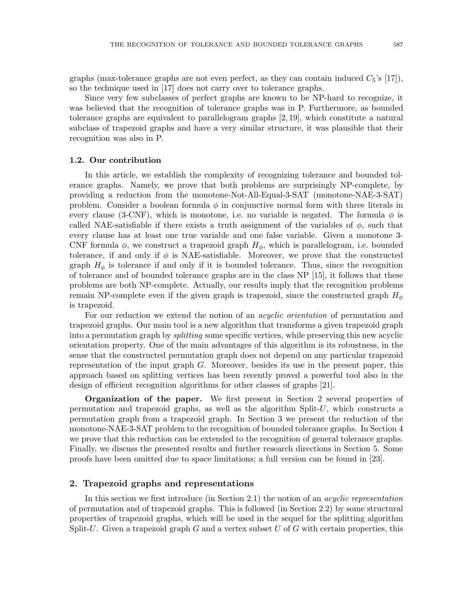graphs (max-tolerance graphs are not even perfect, as they can contain induced  $C_5$ 's [17]), so the technique used in [17] does not carry over to tolerance graphs.

Since very few subclasses of perfect graphs are known to be NP-hard to recognize, it was believed that the recognition of tolerance graphs was in P. Furthermore, as bounded tolerance graphs are equivalent to parallelogram graphs [2, 19], which constitute a natural subclass of trapezoid graphs and have a very similar structure, it was plausible that their recognition was also in P.

### 1.2. Our contribution

In this article, we establish the complexity of recognizing tolerance and bounded tolerance graphs. Namely, we prove that both problems are surprisingly NP-complete, by providing a reduction from the monotone-Not-All-Equal-3-SAT (monotone-NAE-3-SAT) problem. Consider a boolean formula  $\phi$  in conjunctive normal form with three literals in every clause (3-CNF), which is monotone, i.e. no variable is negated. The formula  $\phi$  is called NAE-satisfiable if there exists a truth assignment of the variables of  $\phi$ , such that every clause has at least one true variable and one false variable. Given a monotone 3- CNF formula  $\phi$ , we construct a trapezoid graph  $H_{\phi}$ , which is parallelogram, i.e. bounded tolerance, if and only if  $\phi$  is NAE-satisfiable. Moreover, we prove that the constructed graph  $H_{\phi}$  is tolerance if and only if it is bounded tolerance. Thus, since the recognition of tolerance and of bounded tolerance graphs are in the class NP [15], it follows that these problems are both NP-complete. Actually, our results imply that the recognition problems remain NP-complete even if the given graph is trapezoid, since the constructed graph  $H_{\phi}$ is trapezoid.

For our reduction we extend the notion of an *acyclic orientation* of permutation and trapezoid graphs. Our main tool is a new algorithm that transforms a given trapezoid graph into a permutation graph by *splitting* some specific vertices, while preserving this new acyclic orientation property. One of the main advantages of this algorithm is its robustness, in the sense that the constructed permutation graph does not depend on any particular trapezoid representation of the input graph  $G$ . Moreover, besides its use in the present paper, this approach based on splitting vertices has been recently proved a powerful tool also in the design of efficient recognition algorithms for other classes of graphs [21].

Organization of the paper. We first present in Section 2 several properties of permutation and trapezoid graphs, as well as the algorithm Split-U, which constructs a permutation graph from a trapezoid graph. In Section 3 we present the reduction of the monotone-NAE-3-SAT problem to the recognition of bounded tolerance graphs. In Section 4 we prove that this reduction can be extended to the recognition of general tolerance graphs. Finally, we discuss the presented results and further research directions in Section 5. Some proofs have been omitted due to space limitations; a full version can be found in [23].

# 2. Trapezoid graphs and representations

In this section we first introduce (in Section 2.1) the notion of an acyclic representation of permutation and of trapezoid graphs. This is followed (in Section 2.2) by some structural properties of trapezoid graphs, which will be used in the sequel for the splitting algorithm Split-U. Given a trapezoid graph G and a vertex subset U of G with certain properties, this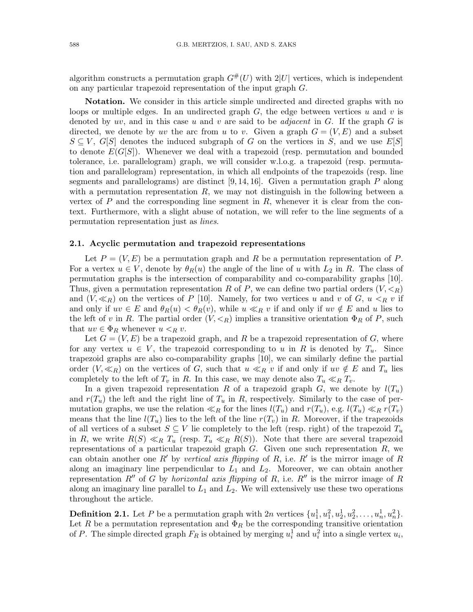algorithm constructs a permutation graph  $G^{\#}(U)$  with 2|U| vertices, which is independent on any particular trapezoid representation of the input graph G.

Notation. We consider in this article simple undirected and directed graphs with no loops or multiple edges. In an undirected graph  $G$ , the edge between vertices u and v is denoted by uv, and in this case u and v are said to be *adjacent* in G. If the graph G is directed, we denote by uv the arc from u to v. Given a graph  $G = (V, E)$  and a subset  $S \subseteq V$ ,  $G[S]$  denotes the induced subgraph of G on the vertices in S, and we use  $E[S]$ to denote  $E(G[S])$ . Whenever we deal with a trapezoid (resp. permutation and bounded tolerance, i.e. parallelogram) graph, we will consider w.l.o.g. a trapezoid (resp. permutation and parallelogram) representation, in which all endpoints of the trapezoids (resp. line segments and parallelograms) are distinct [9, 14, 16]. Given a permutation graph  $P$  along with a permutation representation  $R$ , we may not distinguish in the following between a vertex of  $P$  and the corresponding line segment in  $R$ , whenever it is clear from the context. Furthermore, with a slight abuse of notation, we will refer to the line segments of a permutation representation just as lines.

#### 2.1. Acyclic permutation and trapezoid representations

Let  $P = (V, E)$  be a permutation graph and R be a permutation representation of P. For a vertex  $u \in V$ , denote by  $\theta_R(u)$  the angle of the line of u with  $L_2$  in R. The class of permutation graphs is the intersection of comparability and co-comparability graphs [10]. Thus, given a permutation representation R of P, we can define two partial orders  $(V, \leq_R)$ and  $(V,\ll_R)$  on the vertices of P [10]. Namely, for two vertices u and v of G,  $u \lt_R v$  if and only if  $uv \in E$  and  $\theta_R(u) < \theta_R(v)$ , while  $u \ll_R v$  if and only if  $uv \notin E$  and u lies to the left of v in R. The partial order  $(V, \leq_R)$  implies a transitive orientation  $\Phi_R$  of P, such that  $uv \in \Phi_R$  whenever  $u \leq_R v$ .

Let  $G = (V, E)$  be a trapezoid graph, and R be a trapezoid representation of G, where for any vertex  $u \in V$ , the trapezoid corresponding to u in R is denoted by  $T_u$ . Since trapezoid graphs are also co-comparability graphs [10], we can similarly define the partial order  $(V, \ll_R)$  on the vertices of G, such that  $u \ll_R v$  if and only if  $uv \notin E$  and  $T_u$  lies completely to the left of  $T_v$  in R. In this case, we may denote also  $T_u \ll_R T_v$ .

In a given trapezoid representation R of a trapezoid graph G, we denote by  $l(T_u)$ and  $r(T_u)$  the left and the right line of  $T_u$  in R, respectively. Similarly to the case of permutation graphs, we use the relation  $\ll_R$  for the lines  $l(T_u)$  and  $r(T_u)$ , e.g.  $l(T_u) \ll_R r(T_v)$ means that the line  $l(T_u)$  lies to the left of the line  $r(T_v)$  in R. Moreover, if the trapezoids of all vertices of a subset  $S \subseteq V$  lie completely to the left (resp. right) of the trapezoid  $T_u$ in R, we write  $R(S) \ll_R T_u$  (resp.  $T_u \ll_R R(S)$ ). Note that there are several trapezoid representations of a particular trapezoid graph  $G$ . Given one such representation  $R$ , we can obtain another one R' by vertical axis flipping of R, i.e. R' is the mirror image of R along an imaginary line perpendicular to  $L_1$  and  $L_2$ . Moreover, we can obtain another representation  $R''$  of G by *horizontal axis flipping* of R, i.e.  $R''$  is the mirror image of R along an imaginary line parallel to  $L_1$  and  $L_2$ . We will extensively use these two operations throughout the article.

**Definition 2.1.** Let P be a permutation graph with  $2n$  vertices  $\{u_1^1, u_1^2, u_2^1, u_2^2, \ldots, u_n^1, u_n^2\}$ . Let R be a permutation representation and  $\Phi_R$  be the corresponding transitive orientation of P. The simple directed graph  $F_R$  is obtained by merging  $u_i^1$  and  $u_i^2$  into a single vertex  $u_i$ ,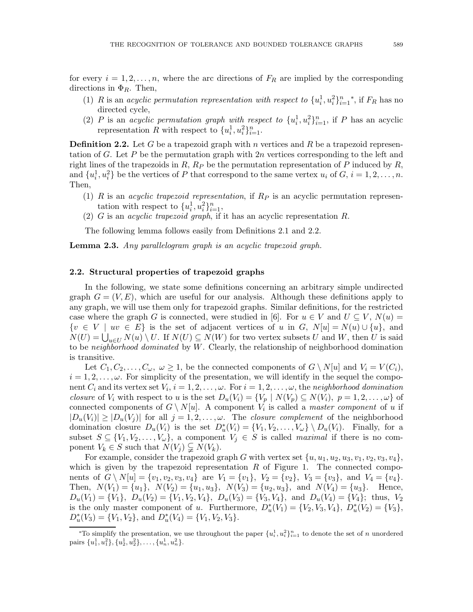for every  $i = 1, 2, \ldots, n$ , where the arc directions of  $F_R$  are implied by the corresponding directions in  $\Phi_R$ . Then,

- (1) R is an acyclic permutation representation with respect to  $\{u_i^1, u_i^2\}_{i=1}^n$ , if  $F_R$  has no directed cycle,
- (2) P is an acyclic permutation graph with respect to  $\{u_i^1, u_i^2\}_{i=1}^n$ , if P has an acyclic representation R with respect to  $\{u_i^1, u_i^2\}_{i=1}^n$ .

**Definition 2.2.** Let G be a trapezoid graph with n vertices and R be a trapezoid representation of G. Let P be the permutation graph with  $2n$  vertices corresponding to the left and right lines of the trapezoids in R,  $R_P$  be the permutation representation of P induced by R, and  $\{u_i^1, u_i^2\}$  be the vertices of P that correspond to the same vertex  $u_i$  of  $G, i = 1, 2, \ldots, n$ . Then,

- (1) R is an *acyclic trapezoid representation*, if  $R_P$  is an acyclic permutation representation with respect to  $\{u_i^1, u_i^2\}_{i=1}^n$ ,
- (2) G is an acyclic trapezoid graph, if it has an acyclic representation R.

The following lemma follows easily from Definitions 2.1 and 2.2.

Lemma 2.3. Any parallelogram graph is an acyclic trapezoid graph.

# 2.2. Structural properties of trapezoid graphs

In the following, we state some definitions concerning an arbitrary simple undirected graph  $G = (V, E)$ , which are useful for our analysis. Although these definitions apply to any graph, we will use them only for trapezoid graphs. Similar definitions, for the restricted case where the graph G is connected, were studied in [6]. For  $u \in V$  and  $U \subseteq V$ ,  $N(u) =$  $\{v \in V \mid uv \in E\}$  is the set of adjacent vertices of u in G,  $N[u] = N(u) \cup \{u\}$ , and  $N(U) = \bigcup_{u \in U} N(u) \setminus U$ . If  $N(U) \subseteq N(W)$  for two vertex subsets U and W, then U is said to be *neighborhood dominated* by  $W$ . Clearly, the relationship of neighborhood domination is transitive.

Let  $C_1, C_2, \ldots, C_{\omega}, \omega \geq 1$ , be the connected components of  $G \setminus N[u]$  and  $V_i = V(C_i)$ ,  $i = 1, 2, \ldots, \omega$ . For simplicity of the presentation, we will identify in the sequel the component  $C_i$  and its vertex set  $V_i$ ,  $i = 1, 2, \ldots, \omega$ . For  $i = 1, 2, \ldots, \omega$ , the neighborhood domination *closure* of  $V_i$  with respect to u is the set  $D_u(V_i) = \{V_p \mid N(V_p) \subseteq N(V_i), p = 1, 2, \ldots, \omega\}$  of connected components of  $G \setminus N[u]$ . A component  $V_i$  is called a master component of u if  $|D_u(V_i)| \geq |D_u(V_i)|$  for all  $j = 1, 2, \ldots, \omega$ . The *closure complement* of the neighborhood domination closure  $D_u(V_i)$  is the set  $D_u^*(V_i) = \{V_1, V_2, \ldots, V_\omega\} \setminus D_u(V_i)$ . Finally, for a subset  $S \subseteq \{V_1, V_2, \ldots, V_\omega\}$ , a component  $V_j \in S$  is called maximal if there is no component  $V_k \in S$  such that  $N(V_i) \subsetneq N(V_k)$ .

For example, consider the trapezoid graph G with vertex set  $\{u, u_1, u_2, u_3, v_1, v_2, v_3, v_4\}$ , which is given by the trapezoid representation  $R$  of Figure 1. The connected components of  $G \setminus N[u] = \{v_1, v_2, v_3, v_4\}$  are  $V_1 = \{v_1\}, V_2 = \{v_2\}, V_3 = \{v_3\}, \text{ and } V_4 = \{v_4\}.$ Then,  $N(V_1) = \{u_1\}$ ,  $N(V_2) = \{u_1, u_3\}$ ,  $N(V_3) = \{u_2, u_3\}$ , and  $N(V_4) = \{u_3\}$ . Hence,  $D_u(V_1) = \{V_1\}, D_u(V_2) = \{V_1, V_2, V_4\}, D_u(V_3) = \{V_3, V_4\}, \text{ and } D_u(V_4) = \{V_4\}; \text{ thus, } V_2$ is the only master component of u. Furthermore,  $D_u^*(V_1) = \{V_2, V_3, V_4\}, D_u^*(V_2) = \{V_3\},\$  $D_u^*(V_3) = \{V_1, V_2\}$ , and  $D_u^*(V_4) = \{V_1, V_2, V_3\}$ .

<sup>\*</sup>To simplify the presentation, we use throughout the paper  $\{u_i^1, u_i^2\}_{i=1}^n$  to denote the set of n unordered  ${\rm pairs}\,\, \{u_1^1,\overline{u_1^2}\}, \{u_2^1,\overline{u_2^2}\}, \dots, \{u_n^1,u_n^2\}.$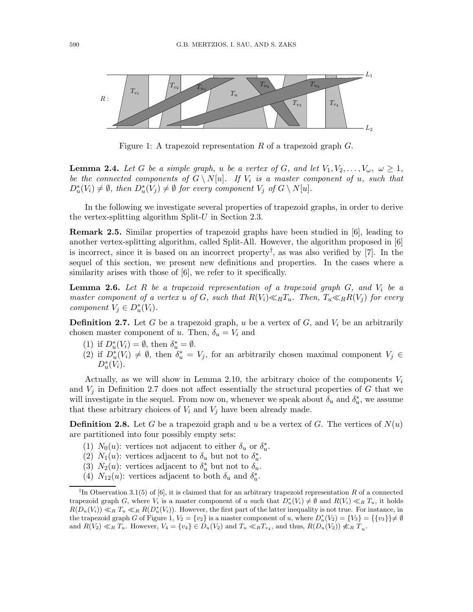

Figure 1: A trapezoid representation R of a trapezoid graph  $G$ .

**Lemma 2.4.** Let G be a simple graph, u be a vertex of G, and let  $V_1, V_2, \ldots, V_\omega, \ \omega \geq 1$ , be the connected components of  $G \setminus N[u]$ . If  $V_i$  is a master component of u, such that  $D^*_{u}(V_i) \neq \emptyset$ , then  $D^*_{u}(V_j) \neq \emptyset$  for every component  $V_j$  of  $G \setminus N[u]$ .

In the following we investigate several properties of trapezoid graphs, in order to derive the vertex-splitting algorithm Split- $U$  in Section 2.3.

Remark 2.5. Similar properties of trapezoid graphs have been studied in [6], leading to another vertex-splitting algorithm, called Split-All. However, the algorithm proposed in [6] is incorrect, since it is based on an incorrect property† , as was also verified by [7]. In the sequel of this section, we present new definitions and properties. In the cases where a similarity arises with those of [6], we refer to it specifically.

**Lemma 2.6.** Let R be a trapezoid representation of a trapezoid graph  $G$ , and  $V_i$  be a master component of a vertex u of G, such that  $R(V_i) \ll_R T_u$ . Then,  $T_u \ll_R R(V_i)$  for every component  $V_j \in D^*_u(V_i)$ .

**Definition 2.7.** Let G be a trapezoid graph, u be a vertex of G, and  $V_i$  be an arbitrarily chosen master component of u. Then,  $\delta_u = V_i$  and

- (1) if  $D^*_{u}(V_i) = \emptyset$ , then  $\delta^*_{u} = \emptyset$ .
- (2) if  $D^*_u(V_i) \neq \emptyset$ , then  $\delta^*_u = V_j$ , for an arbitrarily chosen maximal component  $V_j \in$  $D_u^*(V_i)$ .

Actually, as we will show in Lemma 2.10, the arbitrary choice of the components  $V_i$ and  $V_j$  in Definition 2.7 does not affect essentially the structural properties of G that we will investigate in the sequel. From now on, whenever we speak about  $\delta_u$  and  $\delta_u^*$ , we assume that these arbitrary choices of  $V_i$  and  $V_j$  have been already made.

**Definition 2.8.** Let G be a trapezoid graph and u be a vertex of G. The vertices of  $N(u)$ are partitioned into four possibly empty sets:

- (1)  $N_0(u)$ : vertices not adjacent to either  $\delta_u$  or  $\delta_u^*$ .
- (2)  $N_1(u)$ : vertices adjacent to  $\delta_u$  but not to  $\delta_u^*$ .
- (3)  $N_2(u)$ : vertices adjacent to  $\delta_u^*$  but not to  $\delta_u$ .
- (4)  $N_{12}(u)$ : vertices adjacent to both  $\delta_u$  and  $\delta_u^*$ .

<sup>&</sup>lt;sup>†</sup>In Observation 3.1(5) of [6], it is claimed that for an arbitrary trapezoid representation R of a connected trapezoid graph G, where  $V_i$  is a master component of u such that  $D_u^*(V_i) \neq \emptyset$  and  $R(V_i) \ll_R T_u$ , it holds  $R(D_u(V_i)) \ll_R T_u \ll_R R(D_u^*(V_i))$ . However, the first part of the latter inequality is not true. For instance, in the trapezoid graph G of Figure 1,  $V_2 = \{v_2\}$  is a master component of u, where  $D_u^*(V_2) = \{V_3\} = \{\{v_3\}\}\neq \emptyset$ and  $R(V_2) \ll_R T_u$ . However,  $V_4 = \{v_4\} \in D_u(V_2)$  and  $T_u \ll_R T_{v_4}$ , and thus,  $R(D_u(V_2)) \not\ll_R T_u$ .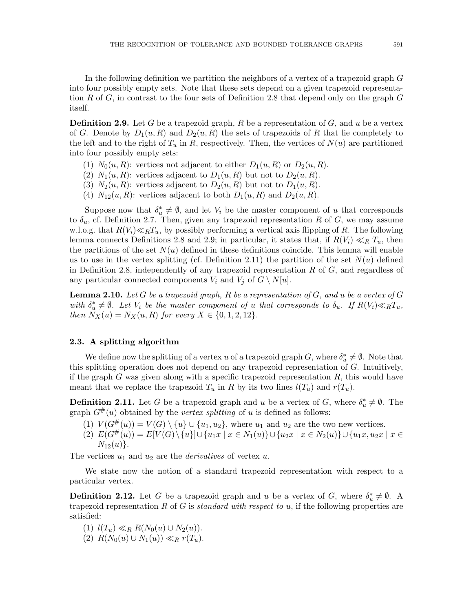In the following definition we partition the neighbors of a vertex of a trapezoid graph  $G$ into four possibly empty sets. Note that these sets depend on a given trapezoid representation R of G, in contrast to the four sets of Definition 2.8 that depend only on the graph  $G$ itself.

**Definition 2.9.** Let G be a trapezoid graph, R be a representation of G, and  $u$  be a vertex of G. Denote by  $D_1(u, R)$  and  $D_2(u, R)$  the sets of trapezoids of R that lie completely to the left and to the right of  $T_u$  in R, respectively. Then, the vertices of  $N(u)$  are partitioned into four possibly empty sets:

- (1)  $N_0(u, R)$ : vertices not adjacent to either  $D_1(u, R)$  or  $D_2(u, R)$ .
- (2)  $N_1(u, R)$ : vertices adjacent to  $D_1(u, R)$  but not to  $D_2(u, R)$ .
- (3)  $N_2(u, R)$ : vertices adjacent to  $D_2(u, R)$  but not to  $D_1(u, R)$ .
- (4)  $N_{12}(u, R)$ : vertices adjacent to both  $D_1(u, R)$  and  $D_2(u, R)$ .

Suppose now that  $\delta_u^* \neq \emptyset$ , and let  $V_i$  be the master component of u that corresponds to  $\delta_u$ , cf. Definition 2.7. Then, given any trapezoid representation R of G, we may assume w.l.o.g. that  $R(V_i) \ll_R T_u$ , by possibly performing a vertical axis flipping of R. The following lemma connects Definitions 2.8 and 2.9; in particular, it states that, if  $R(V_i) \ll_R T_u$ , then the partitions of the set  $N(u)$  defined in these definitions coincide. This lemma will enable us to use in the vertex splitting (cf. Definition 2.11) the partition of the set  $N(u)$  defined in Definition 2.8, independently of any trapezoid representation  $R$  of  $G$ , and regardless of any particular connected components  $V_i$  and  $V_j$  of  $G \setminus N[u]$ .

**Lemma 2.10.** Let G be a trapezoid graph, R be a representation of G, and u be a vertex of G with  $\delta_u^* \neq \emptyset$ . Let  $V_i$  be the master component of u that corresponds to  $\delta_u$ . If  $R(V_i) \ll_R T_u$ , then  $N_X(u) = N_X(u, R)$  for every  $X \in \{0, 1, 2, 12\}.$ 

#### 2.3. A splitting algorithm

We define now the splitting of a vertex u of a trapezoid graph G, where  $\delta_u^* \neq \emptyset$ . Note that this splitting operation does not depend on any trapezoid representation of G. Intuitively, if the graph G was given along with a specific trapezoid representation  $R$ , this would have meant that we replace the trapezoid  $T_u$  in R by its two lines  $l(T_u)$  and  $r(T_u)$ .

**Definition 2.11.** Let G be a trapezoid graph and u be a vertex of G, where  $\delta_u^* \neq \emptyset$ . The graph  $G^{\#}(u)$  obtained by the vertex splitting of u is defined as follows:

- (1)  $V(G^{\#}(u)) = V(G) \setminus \{u\} \cup \{u_1, u_2\}$ , where  $u_1$  and  $u_2$  are the two new vertices.
- (2)  $E(G^{\#}(u)) = E[V(G) \setminus \{u\}] \cup \{u_1x \mid x \in N_1(u)\} \cup \{u_2x \mid x \in N_2(u)\} \cup \{u_1x, u_2x \mid x \in N_2(u)\}$  $N_{12}(u)$ .

The vertices  $u_1$  and  $u_2$  are the *derivatives* of vertex  $u$ .

We state now the notion of a standard trapezoid representation with respect to a particular vertex.

**Definition 2.12.** Let G be a trapezoid graph and u be a vertex of G, where  $\delta_u^* \neq \emptyset$ . A trapezoid representation R of G is *standard with respect to u*, if the following properties are satisfied:

- (1)  $l(T_u) \ll_R R(N_0(u) \cup N_2(u))$ .
- (2)  $R(N_0(u) \cup N_1(u)) \ll_R r(T_u)$ .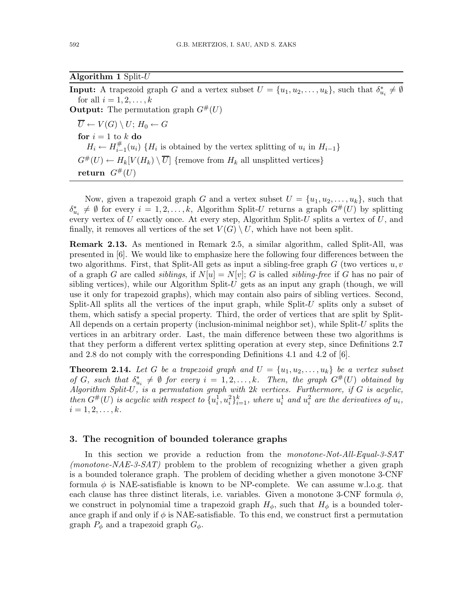# Algorithm 1 Split-U

**Input:** A trapezoid graph G and a vertex subset  $U = \{u_1, u_2, \ldots, u_k\}$ , such that  $\delta_{u_i}^* \neq \emptyset$ for all  $i = 1, 2, \ldots, k$ **Output:** The permutation graph  $G^{\#}(U)$  $\overline{U} \leftarrow V(G) \setminus U; H_0 \leftarrow G$ for  $i = 1$  to  $k$  do  $H_i \leftarrow H_{i-}^{\#}$  $\mathcal{F}_{i-1}(u_i)$  { $H_i$  is obtained by the vertex splitting of  $u_i$  in  $H_{i-1}$ }  $G^{\#}(U) \leftarrow H_k[V(H_k) \setminus \overline{U}]$  {remove from  $H_k$  all unsplitted vertices} return  $G^{\#}(U)$ 

Now, given a trapezoid graph G and a vertex subset  $U = \{u_1, u_2, \ldots, u_k\}$ , such that  $\delta_{u_i}^* \neq \emptyset$  for every  $i = 1, 2, ..., k$ , Algorithm Split-U returns a graph  $G^{\#}(U)$  by splitting every vertex of  $U$  exactly once. At every step, Algorithm Split- $U$  splits a vertex of  $U$ , and finally, it removes all vertices of the set  $V(G) \setminus U$ , which have not been split.

Remark 2.13. As mentioned in Remark 2.5, a similar algorithm, called Split-All, was presented in [6]. We would like to emphasize here the following four differences between the two algorithms. First, that Split-All gets as input a sibling-free graph  $G$  (two vertices  $u, v$ of a graph G are called *siblings*, if  $N[u] = N[v]$ ; G is called *sibling-free* if G has no pair of sibling vertices), while our Algorithm Split- $U$  gets as an input any graph (though, we will use it only for trapezoid graphs), which may contain also pairs of sibling vertices. Second, Split-All splits all the vertices of the input graph, while Split-U splits only a subset of them, which satisfy a special property. Third, the order of vertices that are split by Split-All depends on a certain property (inclusion-minimal neighbor set), while Split-U splits the vertices in an arbitrary order. Last, the main difference between these two algorithms is that they perform a different vertex splitting operation at every step, since Definitions 2.7 and 2.8 do not comply with the corresponding Definitions 4.1 and 4.2 of [6].

**Theorem 2.14.** Let G be a trapezoid graph and  $U = \{u_1, u_2, \ldots, u_k\}$  be a vertex subset of G, such that  $\delta_{u_i}^* \neq \emptyset$  for every  $i = 1, 2, ..., k$ . Then, the graph  $G^{\#}(U)$  obtained by Algorithm Split-U, is a permutation graph with 2k vertices. Furthermore, if G is acyclic, then  $G^{\#}(U)$  is acyclic with respect to  $\{u_i^1, u_i^2\}_{i=1}^k$ , where  $u_i^1$  and  $u_i^2$  are the derivatives of  $u_i$ ,  $i = 1, 2, \ldots, k.$ 

# 3. The recognition of bounded tolerance graphs

In this section we provide a reduction from the monotone-Not-All-Equal-3-SAT (monotone-NAE-3-SAT) problem to the problem of recognizing whether a given graph is a bounded tolerance graph. The problem of deciding whether a given monotone 3-CNF formula  $\phi$  is NAE-satisfiable is known to be NP-complete. We can assume w.l.o.g. that each clause has three distinct literals, i.e. variables. Given a monotone 3-CNF formula  $\phi$ , we construct in polynomial time a trapezoid graph  $H_{\phi}$ , such that  $H_{\phi}$  is a bounded tolerance graph if and only if  $\phi$  is NAE-satisfiable. To this end, we construct first a permutation graph  $P_{\phi}$  and a trapezoid graph  $G_{\phi}$ .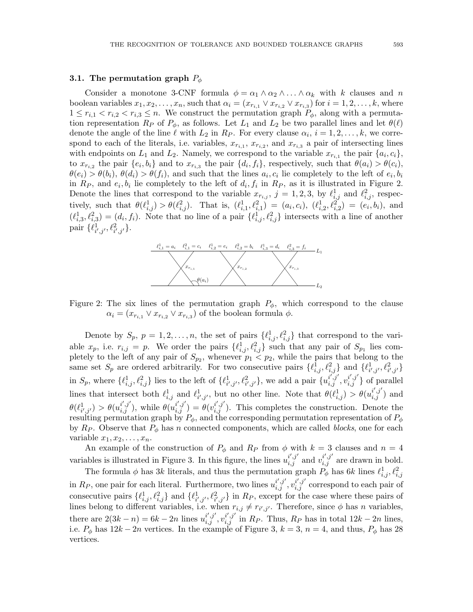## 3.1. The permutation graph  $P_{\phi}$

Consider a monotone 3-CNF formula  $\phi = \alpha_1 \wedge \alpha_2 \wedge \ldots \wedge \alpha_k$  with k clauses and n boolean variables  $x_1, x_2, \ldots, x_n$ , such that  $\alpha_i = (x_{r_{i,1}} \vee x_{r_{i,2}} \vee x_{r_{i,3}})$  for  $i = 1, 2, \ldots, k$ , where  $1 \leq r_{i,1} < r_{i,2} < r_{i,3} \leq n$ . We construct the permutation graph  $P_{\phi}$ , along with a permutation representation  $R_P$  of  $P_\phi$ , as follows. Let  $L_1$  and  $L_2$  be two parallel lines and let  $\theta(\ell)$ denote the angle of the line  $\ell$  with  $L_2$  in  $R_P$ . For every clause  $\alpha_i$ ,  $i = 1, 2, \ldots, k$ , we correspond to each of the literals, i.e. variables,  $x_{r_{i,1}}, x_{r_{i,2}},$  and  $x_{r_{i,3}}$  a pair of intersecting lines with endpoints on  $L_1$  and  $L_2$ . Namely, we correspond to the variable  $x_{r_{i,1}}$  the pair  $\{a_i, c_i\}$ , to  $x_{r_{i,2}}$  the pair  $\{e_i, b_i\}$  and to  $x_{r_{i,3}}$  the pair  $\{d_i, f_i\}$ , respectively, such that  $\theta(a_i) > \theta(c_i)$ ,  $\theta(e_i) > \theta(b_i), \ \theta(d_i) > \theta(f_i),$  and such that the lines  $a_i, c_i$  lie completely to the left of  $e_i, b_i$ in  $R_P$ , and  $e_i, b_i$  lie completely to the left of  $d_i, f_i$  in  $R_P$ , as it is illustrated in Figure 2. Denote the lines that correspond to the variable  $x_{r_{i,j}}$ ,  $j = 1, 2, 3$ , by  $\ell_{i,j}^1$  and  $\ell_{i,j}^2$ , respectively, such that  $\theta(\ell_{i,j}^1) > \theta(\ell_{i,j}^2)$ . That is,  $(\ell_{i,1}^1, \ell_{i,1}^2) = (a_i, c_i), (\ell_{i,2}^1, \ell_{i,2}^2) = (e_i, b_i)$ , and  $(\ell_{i,3}^1, \ell_{i,3}^2) = (d_i, f_i)$ . Note that no line of a pair  $\{\ell_{i,j}^1, \ell_{i,j}^2\}$  intersects with a line of another pair  $\{\ell_{i',j'}^1, \ell_{i',j'}^2\}.$ 



Figure 2: The six lines of the permutation graph  $P_{\phi}$ , which correspond to the clause  $\alpha_i = (x_{r_{i,1}} \vee x_{r_{i,2}} \vee x_{r_{i,3}})$  of the boolean formula  $\phi$ .

Denote by  $S_p$ ,  $p = 1, 2, ..., n$ , the set of pairs  $\{\ell_{i,j}^1, \ell_{i,j}^2\}$  that correspond to the variable  $x_p$ , i.e.  $r_{i,j} = p$ . We order the pairs  $\{\ell_{i,j}^1, \ell_{i,j}^2\}$  such that any pair of  $S_{p_1}$  lies completely to the left of any pair of  $S_{p_2}$ , whenever  $p_1 < p_2$ , while the pairs that belong to the same set  $S_p$  are ordered arbitrarily. For two consecutive pairs  $\{\ell_{i,j}^1, \ell_{i,j}^2, \ell_{i',j'}^3, \ell_{i',j'}^2\}$ in  $S_p$ , where  $\{\ell_{i,j}^1, \ell_{i,j}^2\}$  lies to the left of  $\{\ell_{i',j'}^1, \ell_{i',j'}^2\}$ , we add a pair  $\{u_{i,j}^{i',j'}, v_{i,j}^{i',j'}\}$  of parallel lines that intersect both  $\ell_{i,j}^1$  and  $\ell_{i',j'}^1$ , but no other line. Note that  $\theta(\ell_{i,j}^1) > \theta(u_{i,j}^{i',j'})$  and  $\theta(\ell_{i',j'}^{1}) > \theta(u_{i,j}^{i',j'})$ , while  $\theta(u_{i,j}^{i',j'}) = \theta(v_{i,j}^{i',j'})$ . This completes the construction. Denote the resulting permutation graph by  $P_{\phi}$ , and the corresponding permutation representation of  $P_{\phi}$ by  $R_P$ . Observe that  $P_{\phi}$  has n connected components, which are called blocks, one for each variable  $x_1, x_2, \ldots, x_n$ .

An example of the construction of  $P_{\phi}$  and  $R_P$  from  $\phi$  with  $k = 3$  clauses and  $n = 4$ variables is illustrated in Figure 3. In this figure, the lines  $u_{i,j}^{i',j'}$  and  $v_{i,j}^{i',j'}$  are drawn in bold.

The formula  $\phi$  has 3k literals, and thus the permutation graph  $P_{\phi}$  has 6k lines  $\ell_{i,j}^1, \ell_{i,j}^2$ in  $R_P$ , one pair for each literal. Furthermore, two lines  $u_{i,j}^{i',j'}, v_{i,j}^{i',j'}$  correspond to each pair of consecutive pairs  $\{\ell_{i,j}^1, \ell_{i,j}^2\}$  and  $\{\ell_{i',j'}^1, \ell_{i',j'}^2\}$  in  $R_P$ , except for the case where these pairs of lines belong to different variables, i.e. when  $r_{i,j} \neq r_{i',j'}$ . Therefore, since  $\phi$  has n variables, there are  $2(3k - n) = 6k - 2n$  lines  $u_{i,j}^{i',j'}, v_{i,j}^{i',j'}$  in  $R_P$ . Thus,  $R_P$  has in total  $12k - 2n$  lines, i.e.  $P_{\phi}$  has  $12k - 2n$  vertices. In the example of Figure 3,  $k = 3$ ,  $n = 4$ , and thus,  $P_{\phi}$  has 28 vertices.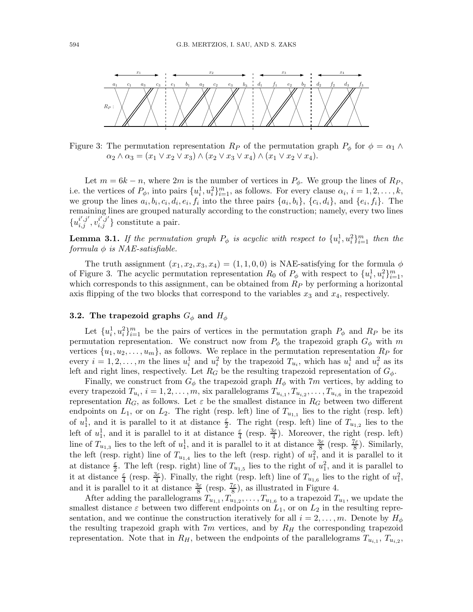

Figure 3: The permutation representation  $R_P$  of the permutation graph  $P_{\phi}$  for  $\phi = \alpha_1 \wedge$  $\alpha_2 \wedge \alpha_3 = (x_1 \vee x_2 \vee x_3) \wedge (x_2 \vee x_3 \vee x_4) \wedge (x_1 \vee x_2 \vee x_4).$ 

Let  $m = 6k - n$ , where  $2m$  is the number of vertices in  $P_{\phi}$ . We group the lines of  $R_P$ , i.e. the vertices of  $P_{\phi}$ , into pairs  $\{u_i^1, u_i^2\}_{i=1}^m$ , as follows. For every clause  $\alpha_i$ ,  $i = 1, 2, \ldots, k$ , we group the lines  $a_i, b_i, c_i, d_i, e_i, f_i$  into the three pairs  $\{a_i, b_i\}$ ,  $\{c_i, d_i\}$ , and  $\{e_i, f_i\}$ . The remaining lines are grouped naturally according to the construction; namely, every two lines  ${u_{i,j}^{i',j'}, v_{i,j}^{i',j'}}\$ constitute a pair.

**Lemma 3.1.** If the permutation graph  $P_{\phi}$  is acyclic with respect to  $\{u_i^1, u_i^2\}_{i=1}^m$  then the  $formula \phi$  is NAE-satisfiable.

The truth assignment  $(x_1, x_2, x_3, x_4) = (1, 1, 0, 0)$  is NAE-satisfying for the formula  $\phi$ of Figure 3. The acyclic permutation representation  $R_0$  of  $P_\phi$  with respect to  $\{u_i^1, u_i^2\}_{i=1}^m$ , which corresponds to this assignment, can be obtained from  $R_P$  by performing a horizontal axis flipping of the two blocks that correspond to the variables  $x_3$  and  $x_4$ , respectively.

## 3.2. The trapezoid graphs  $G_{\phi}$  and  $H_{\phi}$

Let  $\{u_i^1, u_i^2\}_{i=1}^m$  be the pairs of vertices in the permutation graph  $P_\phi$  and  $R_P$  be its permutation representation. We construct now from  $P_{\phi}$  the trapezoid graph  $G_{\phi}$  with m vertices  $\{u_1, u_2, \ldots, u_m\}$ , as follows. We replace in the permutation representation  $R_P$  for every  $i = 1, 2, ..., m$  the lines  $u_i^1$  and  $u_i^2$  by the trapezoid  $T_{u_i}$ , which has  $u_i^1$  and  $u_i^2$  as its left and right lines, respectively. Let  $R_G$  be the resulting trapezoid representation of  $G_{\phi}$ .

Finally, we construct from  $G_{\phi}$  the trapezoid graph  $H_{\phi}$  with 7m vertices, by adding to every trapezoid  $T_{u_i}$ ,  $i = 1, 2, \ldots, m$ , six parallelograms  $T_{u_{i,1}}, T_{u_{i,2}}, \ldots, T_{u_{i,6}}$  in the trapezoid representation  $R_G$ , as follows. Let  $\varepsilon$  be the smallest distance in  $R_G$  between two different endpoints on  $L_1$ , or on  $L_2$ . The right (resp. left) line of  $T_{u_{1,1}}$  lies to the right (resp. left) of  $u_1^1$ , and it is parallel to it at distance  $\frac{\varepsilon}{2}$ . The right (resp. left) line of  $T_{u_{1,2}}$  lies to the left of  $u_1^1$ , and it is parallel to it at distance  $\frac{\varepsilon}{4}$  (resp.  $\frac{3\varepsilon}{4}$ ). Moreover, the right (resp. left) line of  $T_{u_{1,3}}$  lies to the left of  $u_1^1$ , and it is parallel to it at distance  $\frac{3\varepsilon}{8}$  (resp.  $\frac{7\varepsilon}{8}$ ). Similarly, the left (resp. right) line of  $T_{u_{1,4}}$  lies to the left (resp. right) of  $u_1^2$ , and it is parallel to it at distance  $\frac{\varepsilon}{2}$ . The left (resp. right) line of  $T_{u_{1,5}}$  lies to the right of  $u_1^2$ , and it is parallel to it at distance  $\frac{\varepsilon}{4}$  (resp.  $\frac{3\varepsilon}{4}$ ). Finally, the right (resp. left) line of  $T_{u_{1,6}}$  lies to the right of  $u_1^2$ , and it is parallel to it at distance  $\frac{3\varepsilon}{8}$  (resp.  $\frac{7\varepsilon}{8}$ ), as illustrated in Figure 4.

After adding the parallelograms  $T_{u_{1,1}}, T_{u_{1,2}}, \ldots, T_{u_{1,6}}$  to a trapezoid  $T_{u_1}$ , we update the smallest distance  $\varepsilon$  between two different endpoints on  $L_1$ , or on  $L_2$  in the resulting representation, and we continue the construction iteratively for all  $i = 2, \ldots, m$ . Denote by  $H_{\phi}$ the resulting trapezoid graph with  $7m$  vertices, and by  $R_H$  the corresponding trapezoid representation. Note that in  $R_H$ , between the endpoints of the parallelograms  $T_{u_{i,1}}$ ,  $T_{u_{i,2}}$ ,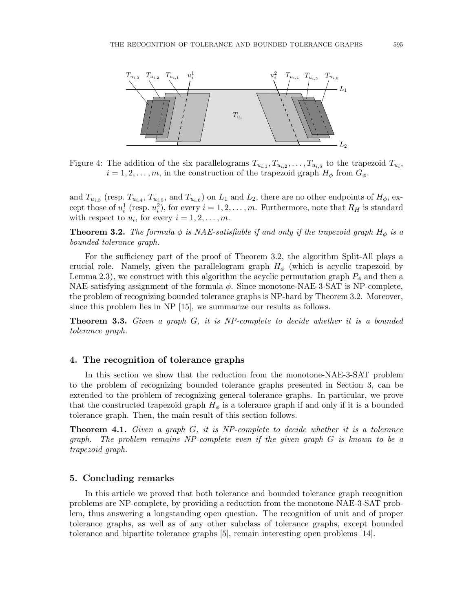

Figure 4: The addition of the six parallelograms  $T_{u_{i,1}}, T_{u_{i,2}}, \ldots, T_{u_{i,6}}$  to the trapezoid  $T_{u_i}$ ,  $i = 1, 2, \ldots, m$ , in the construction of the trapezoid graph  $H_{\phi}$  from  $G_{\phi}$ .

and  $T_{u_{i,3}}$  (resp.  $T_{u_{i,4}}, T_{u_{i,5}},$  and  $T_{u_{i,6}}$ ) on  $L_1$  and  $L_2$ , there are no other endpoints of  $H_{\phi}$ , except those of  $u_i^1$  (resp.  $u_i^2$ ), for every  $i = 1, 2, \ldots, m$ . Furthermore, note that  $R_H$  is standard with respect to  $u_i$ , for every  $i = 1, 2, \ldots, m$ .

**Theorem 3.2.** The formula  $\phi$  is NAE-satisfiable if and only if the trapezoid graph  $H_{\phi}$  is a bounded tolerance graph.

For the sufficiency part of the proof of Theorem 3.2, the algorithm Split-All plays a crucial role. Namely, given the parallelogram graph  $H_{\phi}$  (which is acyclic trapezoid by Lemma 2.3), we construct with this algorithm the acyclic permutation graph  $P_{\phi}$  and then a NAE-satisfying assignment of the formula  $\phi$ . Since monotone-NAE-3-SAT is NP-complete, the problem of recognizing bounded tolerance graphs is NP-hard by Theorem 3.2. Moreover, since this problem lies in NP [15], we summarize our results as follows.

**Theorem 3.3.** Given a graph  $G$ , it is NP-complete to decide whether it is a bounded tolerance graph.

## 4. The recognition of tolerance graphs

In this section we show that the reduction from the monotone-NAE-3-SAT problem to the problem of recognizing bounded tolerance graphs presented in Section 3, can be extended to the problem of recognizing general tolerance graphs. In particular, we prove that the constructed trapezoid graph  $H_{\phi}$  is a tolerance graph if and only if it is a bounded tolerance graph. Then, the main result of this section follows.

**Theorem 4.1.** Given a graph  $G$ , it is NP-complete to decide whether it is a tolerance graph. The problem remains NP-complete even if the given graph G is known to be a trapezoid graph.

# 5. Concluding remarks

In this article we proved that both tolerance and bounded tolerance graph recognition problems are NP-complete, by providing a reduction from the monotone-NAE-3-SAT problem, thus answering a longstanding open question. The recognition of unit and of proper tolerance graphs, as well as of any other subclass of tolerance graphs, except bounded tolerance and bipartite tolerance graphs [5], remain interesting open problems [14].